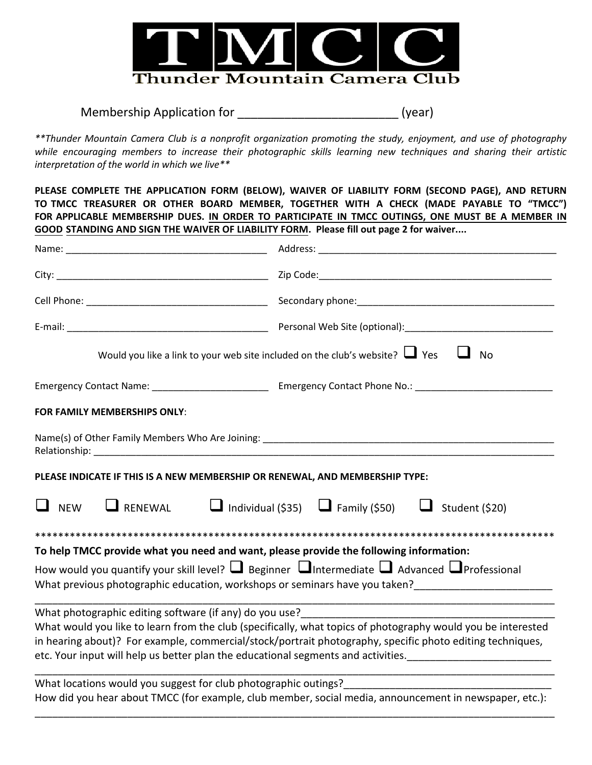

Membership Application for \_\_\_\_\_\_\_\_\_\_\_\_\_\_\_\_\_\_\_\_\_\_\_\_\_\_\_\_\_\_\_\_\_(year)

*\*\*Thunder Mountain Camera Club is a nonprofit organization promoting the study, enjoyment, and use of photography while encouraging members to increase their photographic skills learning new techniques and sharing their artistic interpretation of the world in which we live\*\** 

**PLEASE COMPLETE THE APPLICATION FORM (BELOW), WAIVER OF LIABILITY FORM (SECOND PAGE), AND RETURN TO TMCC TREASURER OR OTHER BOARD MEMBER, TOGETHER WITH A CHECK (MADE PAYABLE TO "TMCC") FOR APPLICABLE MEMBERSHIP DUES. IN ORDER TO PARTICIPATE IN TMCC OUTINGS, ONE MUST BE A MEMBER IN GOOD STANDING AND SIGN THE WAIVER OF LIABILITY FORM. Please fill out page 2 for waiver....**

|                                                                                        | Would you like a link to your web site included on the club's website? $\Box$ Yes<br>$\Box$ No                                                                                                                            |
|----------------------------------------------------------------------------------------|---------------------------------------------------------------------------------------------------------------------------------------------------------------------------------------------------------------------------|
|                                                                                        |                                                                                                                                                                                                                           |
| FOR FAMILY MEMBERSHIPS ONLY:                                                           |                                                                                                                                                                                                                           |
|                                                                                        |                                                                                                                                                                                                                           |
| PLEASE INDICATE IF THIS IS A NEW MEMBERSHIP OR RENEWAL, AND MEMBERSHIP TYPE:           |                                                                                                                                                                                                                           |
| $\Box$ NEW                                                                             | <b>L</b> RENEWAL <b>L</b> Individual (\$35) L Family (\$50) L Student (\$20)                                                                                                                                              |
|                                                                                        |                                                                                                                                                                                                                           |
| To help TMCC provide what you need and want, please provide the following information: |                                                                                                                                                                                                                           |
|                                                                                        | How would you quantify your skill level? $\Box$ Beginner $\Box$ Intermediate $\Box$ Advanced $\Box$ Professional<br>What previous photographic education, workshops or seminars have you taken?_________________________  |
| What photographic editing software (if any) do you use?__________________________      | What would you like to learn from the club (specifically, what topics of photography would you be interested<br>in hearing about)? For example, commercial/stock/portrait photography, specific photo editing techniques, |
| What locations would you suggest for club photographic outings?                        |                                                                                                                                                                                                                           |
|                                                                                        | How did you hear about TMCC (for example, club member, social media, announcement in newspaper, etc.):                                                                                                                    |

\_\_\_\_\_\_\_\_\_\_\_\_\_\_\_\_\_\_\_\_\_\_\_\_\_\_\_\_\_\_\_\_\_\_\_\_\_\_\_\_\_\_\_\_\_\_\_\_\_\_\_\_\_\_\_\_\_\_\_\_\_\_\_\_\_\_\_\_\_\_\_\_\_\_\_\_\_\_\_\_\_\_\_\_\_\_\_\_\_\_